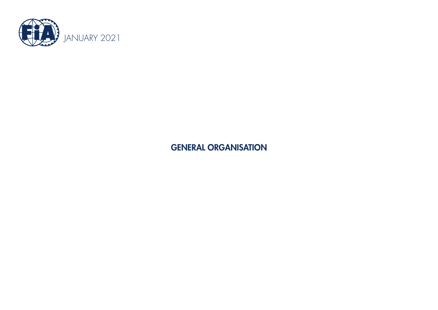

GENERAL ORGANISATION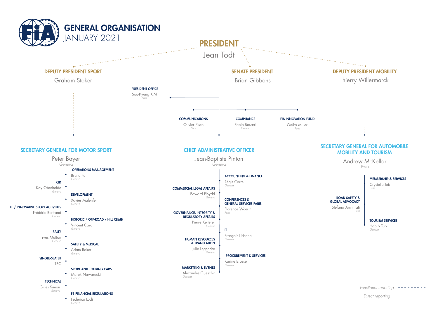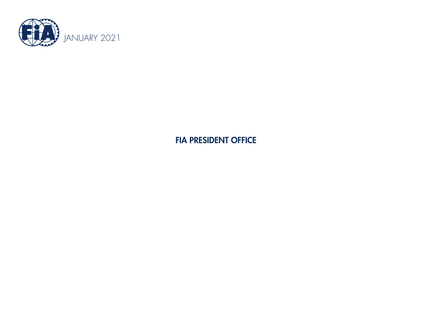

FIA PRESIDENT OFFICE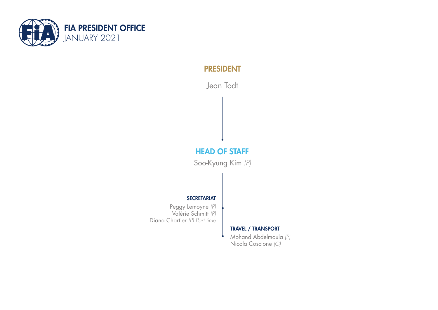

# PRESIDENT

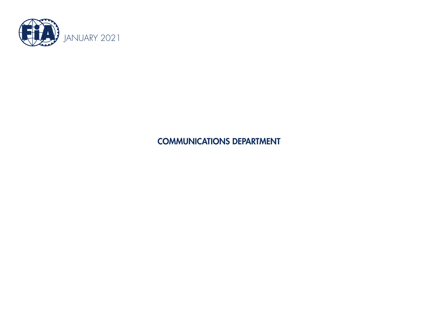

COMMUNICATIONS DEPARTMENT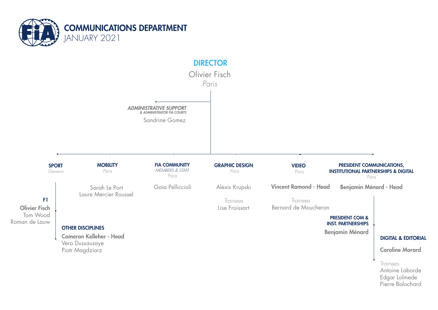

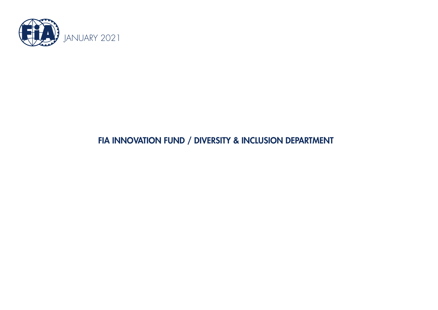

# FIA INNOVATION FUND / DIVERSITY & INCLUSION DEPARTMENT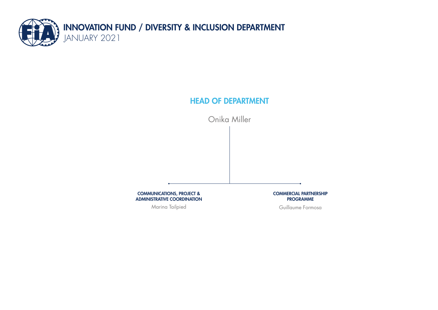

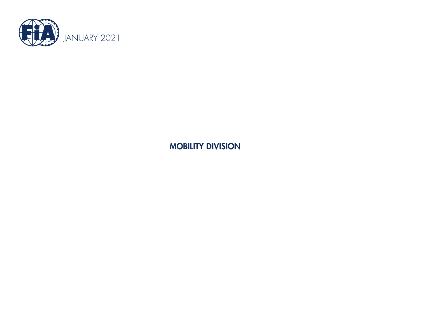

MOBILITY DIVISION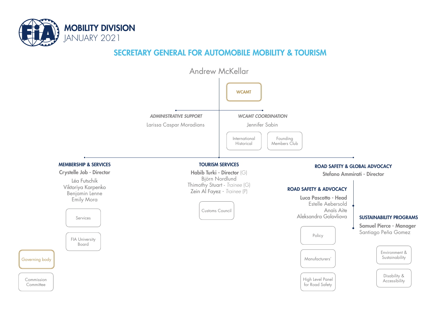

# SECRETARY GENERAL FOR AUTOMOBILE MOBILITY & TOURISM

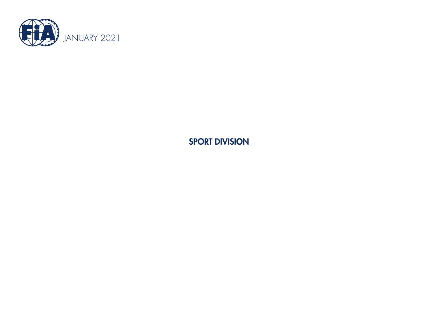

SPORT DIVISION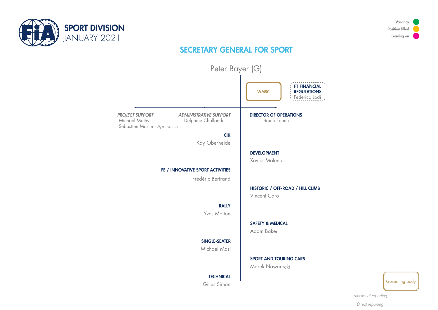



# SECRETARY GENERAL FOR SPORT





*Functional reporting*

*Direct reporting*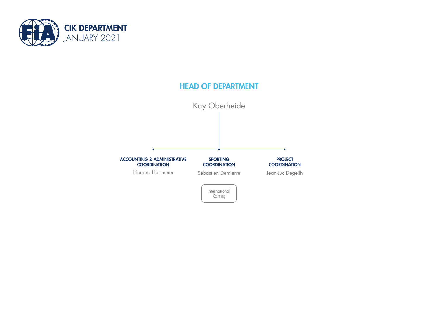

### HEAD OF DEPARTMENT Kay Oberheide PROJECT **COORDINATION** Jean-Luc Degeilh International Karting ACCOUNTING & ADMINISTRATIVE **COORDINATION** Léonard Hartmeier SPORTING **COORDINATION** Sébastien Demierre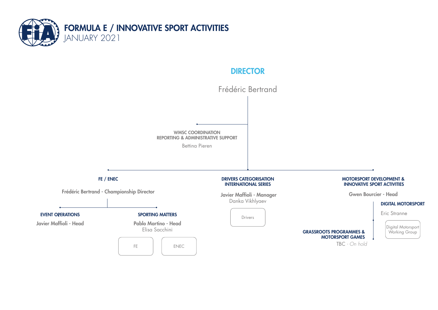

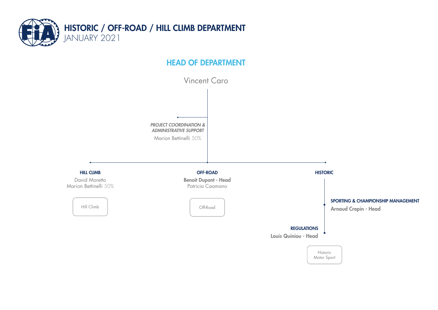

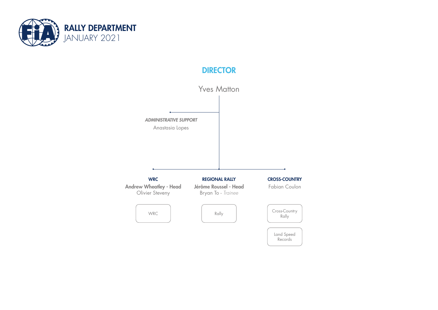

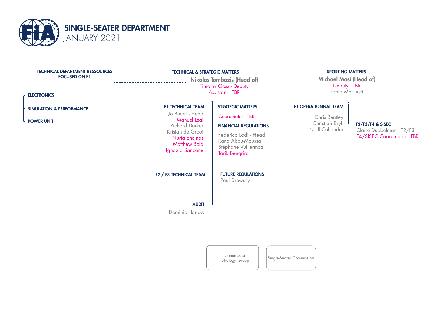

| <b>TECHNICAL DEPARTMENT RESSOURCES</b><br><b>FOCUSED ON F1</b><br><b>ELECTRONICS</b> | <b>TECHNICAL &amp; STRATEGIC MATTERS</b><br><b>Nikolas Tombazis (Head of)</b><br><b>Timothy Goss - Deputy</b><br>Assistant - TBR                                          |                                                                                                                                                                           | <b>SPORTING MATTERS</b><br>Michael Masi (Head of)<br>Deputy - TBR<br>Tania Martucci |                                                                            |
|--------------------------------------------------------------------------------------|---------------------------------------------------------------------------------------------------------------------------------------------------------------------------|---------------------------------------------------------------------------------------------------------------------------------------------------------------------------|-------------------------------------------------------------------------------------|----------------------------------------------------------------------------|
| <b>SIMULATION &amp; PERFORMANCE</b><br><b>POWER UNIT</b>                             | <b>F1 TECHNICAL TEAM</b><br>Jo Bauer - Head<br><b>Manuel Leal</b><br><b>Richard Darker</b><br>Kristan de Groot<br>Nuria Encinas<br><b>Matthew Bold</b><br>Ignazio Sanzone | <b>STRATEGIC MATTERS</b><br>Coordinator - TBR<br><b>FINANCIAL REGULATIONS</b><br>Federico Lodi - Head<br>Rana Abou-Moussa<br>Stéphane Vuillermoz<br><b>Tarik Bengrira</b> | <b>F1 OPERATIONNAL TEAM</b><br>Chris Bentley<br>Christian Bryll<br>Neill Callander  | F2/F3/F4 & SISEC<br>Claire Dubbelman - F2/F3<br>F4/SISEC Coordinator - TBR |
|                                                                                      | F <sub>2</sub> / F <sub>3</sub> TECHNICAL TEAM<br><b>AUDIT</b><br>Dominic Harlow                                                                                          | <b>FUTURE REGULATIONS</b><br>Paul Drewery                                                                                                                                 |                                                                                     |                                                                            |

F1 Commission F1 Commission Single-Seater Commission<br>F1 Strategy Group Single-Seater Commission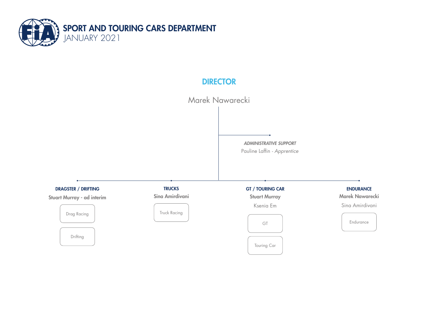

Marek Nawarecki

*ADMINISTRATIVE SUPPORT* Pauline Laffin *- Apprentice*

Truck Racing Marek Nawarecki Sina Amirdivani ENDURANCE Endurance DRAGSTER / DRIFTING GT Drag Racing GT / TOURING CAR Stuart Murray Ksenia Em Touring Car Drifting Stuart Murray - ad interim **TRUCKS** Sina Amirdivani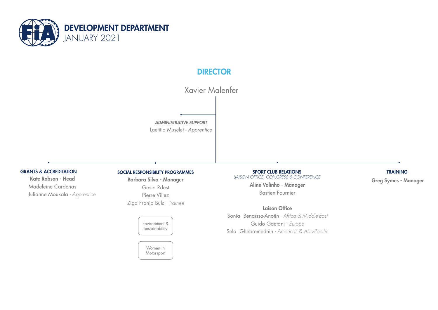

Xavier Malenfer

*ADMINISTRATIVE SUPPORT* Laetitia Muselet - *Apprentice*

Kate Robson - Head Madeleine Cardenas Julianne Moukala *- Apprentice*

### GRANTS & ACCREDITATION SOCIAL RESPONSIBILITY PROGRAMMES

Barbara Silva - Manager Gosia Rdest Pierre Villez Ziga Franjo Bulc *- Trainee*

> Environment & Sustainability

> > Women in Motorsport

SPORT CLUB RELATIONS *LIAISON OFFICE, CONGRESS & CONFERENCE* Aline Valinho - Manager Bastien Fournier

Laison Office

Sonia Benaïssa-Anotin *- Africa & Middle-East* Guido Gaetani *- Europe* Sela Ghebremedhin *- Americas & Asia-Pacific*

#### TRAINING

Greg Symes - Manager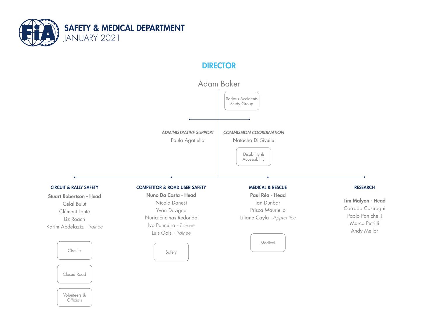



Tim Malyon - Head Corrado Casiraghi Paolo Panichelli Marco Petrilli Andy Mellor

Closed Road

**Circuits** 

Celal Bulut

Liz Roach

Volunteers & **Officials**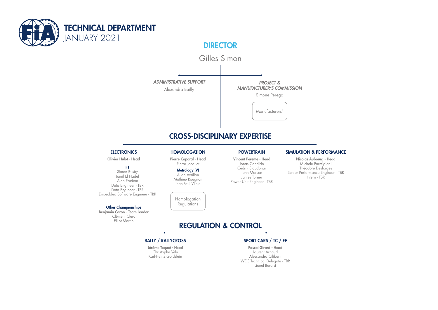



### CROSS-DISCIPLINARY EXPERTISE

#### **ELECTRONICS**

Olivier Hulot - Head

#### F1

Simon Busby Jamil El Hadef Alan Prudom Data Engineer - TBR Data Engineer - TBR Embedded Software Engineer - TBR

#### Other Championships

Benjamin Caron - Team Leader Clément Clerc Elliot Martin

Pierre Caporal - Head Pierre Jacquet

#### Metrology (V) Allan Avrillon Mathieu Rougnon Jean-Paul Vilela

Homologation Regulations

Vincent Pereme - Head Jonas Candido Cédrik Staudohar John Marson James Turner Power Unit Engineer - TBR

#### HOMOLOGATION POWERTRAIN SIMULATION & PERFORMANCE

Nicolas Aubourg - Head Michele Parmigiani Théodore Desforges Senior Performance Engineer - TBR Intern - TBR

## REGULATION & CONTROL

#### RALLY / RALLYCROSS SPORT CARS / TC / FE

Jérôme Toquet - Head Christophe Vely Karl-Heinz Goldstein

Pascal Girard - Head Laurent Arnaud Alessandra Ciliberti WEC Technical Delegate - TBR Lionel Berard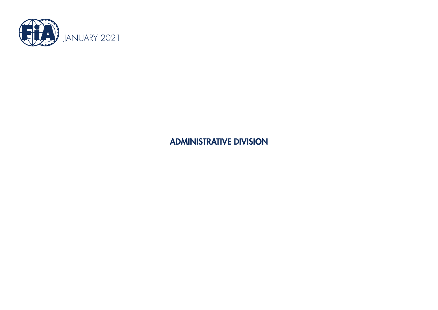

ADMINISTRATIVE DIVISION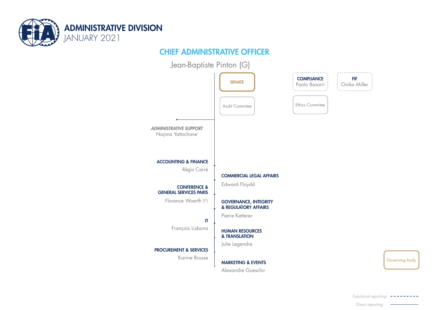

# CHIEF ADMINISTRATIVE OFFICER



Governing body

*Direct reporting*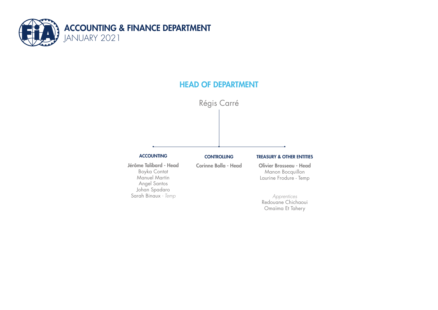



*Apprentices* Redouane Chichaoui Omaïma Et Tahery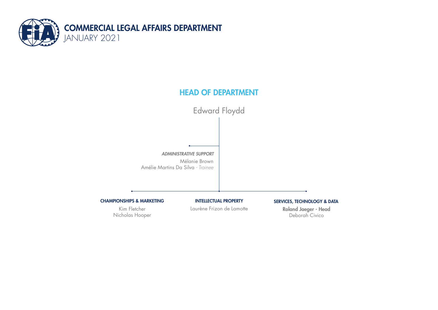

Edward Floydd

*ADMINISTRATIVE SUPPORT* Mélanie Brown Amélie Martins Da Silva *- Trainee*

CHAMPIONSHIPS & MARKETING

Kim Fletcher Nicholas Hooper INTELLECTUAL PROPERTY

Laurène Frizon de Lamotte

SERVICES, TECHNOLOGY & DATA

Roland Jaeger - Head Deborah Civico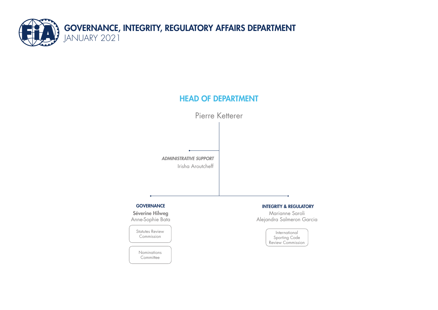



#### **GOVERNANCE**

Séverine Hilweg Anne-Sophie Bata

Statutes Review Commission

> Nominations **Committee**

#### INTEGRITY & REGULATORY

Marianne Saroli Alejandra Salmeron Garcia

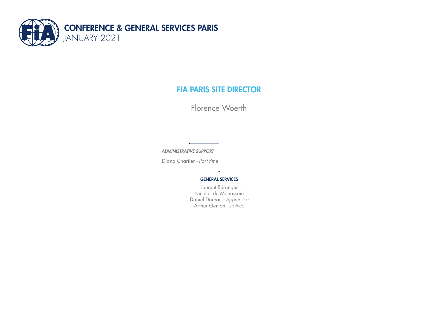

# FIA PARIS SITE DIRECTOR

Florence Woerth

*ADMINISTRATIVE SUPPORT*

Diana Chartier *- Part time*

#### GENERAL SERVICES

Laurent Béranger Nicolas de Manassein Daniel Doreau *- Apprentice* Arthur Genton *- Trainee*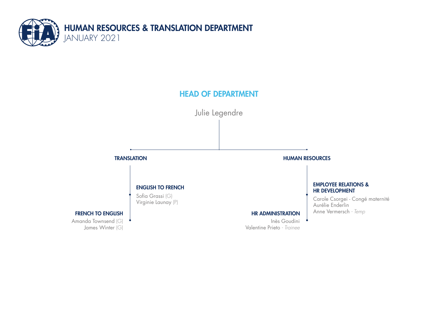

Julie Legendre

### **TRANSLATION**

### ENGLISH TO FRENCH

Sofia Grassi (G) Virginie Launay (P)

### FRENCH TO ENGLISH

Amanda Townsend (G) James Winter (G)

#### HUMAN RESOURCES

#### EMPLOYEE RELATIONS & HR DEVELOPMENT

Carole Csorgei - Congé maternité Aurélie Enderlin **HR ADMINISTRATION** Anne Vermersch - Temp

Inès Goudini Valentine Prieto *- Trainee*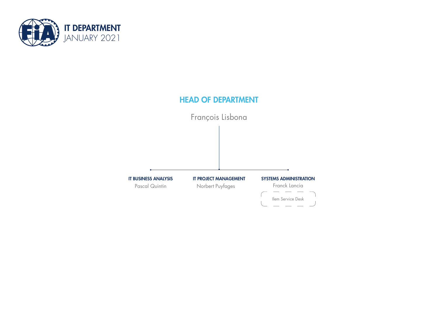

# HEAD OF DEPARTMENT François Lisbona SYSTEMS ADMINISTRATION Franck Lancia IT BUSINESS ANALYSIS Pascal Quintin IT PROJECT MANAGEMENT Norbert Puyfages Ilem Service Desk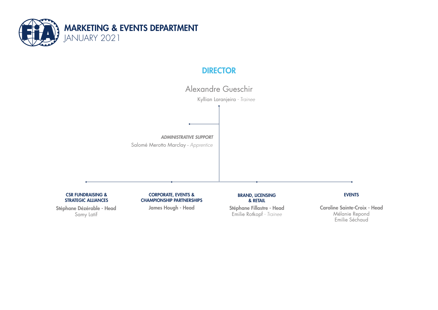